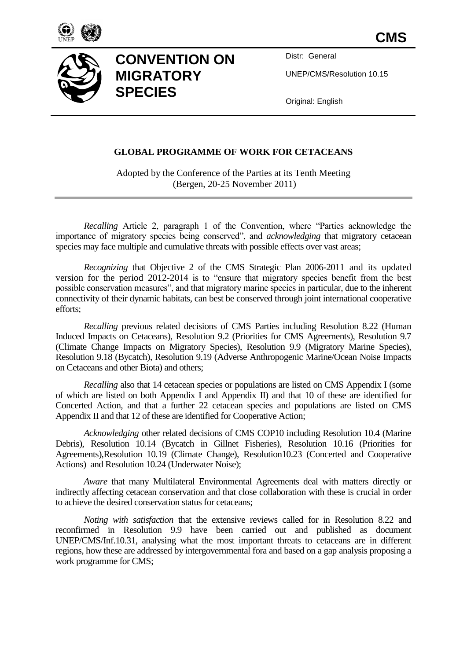



# **CONVENTION ON MIGRATORY SPECIES**

Distr: General

UNEP/CMS/Resolution 10.15

Original: English

#### **GLOBAL PROGRAMME OF WORK FOR CETACEANS**

Adopted by the Conference of the Parties at its Tenth Meeting (Bergen, 20-25 November 2011)

*Recalling* Article 2, paragraph 1 of the Convention, where "Parties acknowledge the importance of migratory species being conserved", and *acknowledging* that migratory cetacean species may face multiple and cumulative threats with possible effects over vast areas;

*Recognizing* that Objective 2 of the CMS Strategic Plan 2006-2011 and its updated version for the period 2012-2014 is to "ensure that migratory species benefit from the best possible conservation measures", and that migratory marine species in particular, due to the inherent connectivity of their dynamic habitats, can best be conserved through joint international cooperative efforts;

*Recalling* previous related decisions of CMS Parties including Resolution 8.22 (Human Induced Impacts on Cetaceans), Resolution 9.2 (Priorities for CMS Agreements), Resolution 9.7 (Climate Change Impacts on Migratory Species), Resolution 9.9 (Migratory Marine Species), Resolution 9.18 (Bycatch), Resolution 9.19 (Adverse Anthropogenic Marine/Ocean Noise Impacts on Cetaceans and other Biota) and others;

*Recalling* also that 14 cetacean species or populations are listed on CMS Appendix I (some of which are listed on both Appendix I and Appendix II) and that 10 of these are identified for Concerted Action, and that a further 22 cetacean species and populations are listed on CMS Appendix II and that 12 of these are identified for Cooperative Action;

*Acknowledging* other related decisions of CMS COP10 including Resolution 10.4 (Marine Debris), Resolution 10.14 (Bycatch in Gillnet Fisheries), Resolution 10.16 (Priorities for Agreements),Resolution 10.19 (Climate Change), Resolution10.23 (Concerted and Cooperative Actions) and Resolution 10.24 (Underwater Noise);

*Aware* that many Multilateral Environmental Agreements deal with matters directly or indirectly affecting cetacean conservation and that close collaboration with these is crucial in order to achieve the desired conservation status for cetaceans;

*Noting with satisfaction* that the extensive reviews called for in Resolution 8.22 and reconfirmed in Resolution 9.9 have been carried out and published as document UNEP/CMS/Inf.10.31, analysing what the most important threats to cetaceans are in different regions, how these are addressed by intergovernmental fora and based on a gap analysis proposing a work programme for CMS;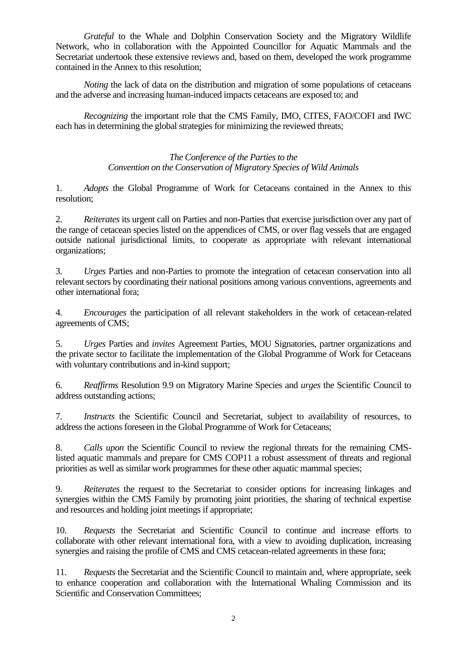*Grateful* to the Whale and Dolphin Conservation Society and the Migratory Wildlife Network, who in collaboration with the Appointed Councillor for Aquatic Mammals and the Secretariat undertook these extensive reviews and, based on them, developed the work programme contained in the Annex to this resolution;

*Noting* the lack of data on the distribution and migration of some populations of cetaceans and the adverse and increasing human-induced impacts cetaceans are exposed to; and

*Recognizing* the important role that the CMS Family, IMO, CITES, FAO/COFI and IWC each has in determining the global strategies for minimizing the reviewed threats;

#### *The Conference of the Parties to the Convention on the Conservation of Migratory Species of Wild Animals*

1. *Adopts* the Global Programme of Work for Cetaceans contained in the Annex to this resolution;

2. *Reiterates* its urgent call on Parties and non-Parties that exercise jurisdiction over any part of the range of cetacean species listed on the appendices of CMS, or over flag vessels that are engaged outside national jurisdictional limits, to cooperate as appropriate with relevant international organizations;

3. *Urges* Parties and non-Parties to promote the integration of cetacean conservation into all relevant sectors by coordinating their national positions among various conventions, agreements and other international fora;

4. *Encourages* the participation of all relevant stakeholders in the work of cetacean-related agreements of CMS;

5. *Urges* Parties and *invites* Agreement Parties, MOU Signatories, partner organizations and the private sector to facilitate the implementation of the Global Programme of Work for Cetaceans with voluntary contributions and in-kind support;

6. *Reaffirms* Resolution 9.9 on Migratory Marine Species and *urges* the Scientific Council to address outstanding actions;

7. *Instructs* the Scientific Council and Secretariat, subject to availability of resources, to address the actions foreseen in the Global Programme of Work for Cetaceans;

8. *Calls upon* the Scientific Council to review the regional threats for the remaining CMSlisted aquatic mammals and prepare for CMS COP11 a robust assessment of threats and regional priorities as well as similar work programmes for these other aquatic mammal species;

9. *Reiterates* the request to the Secretariat to consider options for increasing linkages and synergies within the CMS Family by promoting joint priorities, the sharing of technical expertise and resources and holding joint meetings if appropriate;

10. *Requests* the Secretariat and Scientific Council to continue and increase efforts to collaborate with other relevant international fora, with a view to avoiding duplication, increasing synergies and raising the profile of CMS and CMS cetacean-related agreements in these fora;

11. *Requests* the Secretariat and the Scientific Council to maintain and, where appropriate, seek to enhance cooperation and collaboration with the International Whaling Commission and its Scientific and Conservation Committees;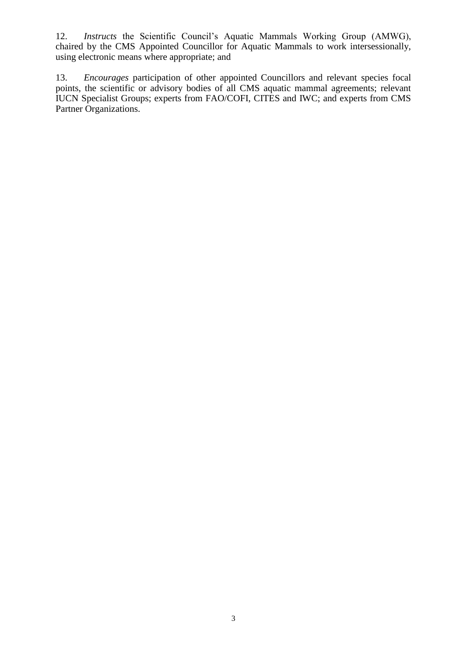12. *Instructs* the Scientific Council's Aquatic Mammals Working Group (AMWG), chaired by the CMS Appointed Councillor for Aquatic Mammals to work intersessionally, using electronic means where appropriate; and

13. *Encourages* participation of other appointed Councillors and relevant species focal points, the scientific or advisory bodies of all CMS aquatic mammal agreements; relevant IUCN Specialist Groups; experts from FAO/COFI, CITES and IWC; and experts from CMS Partner Organizations.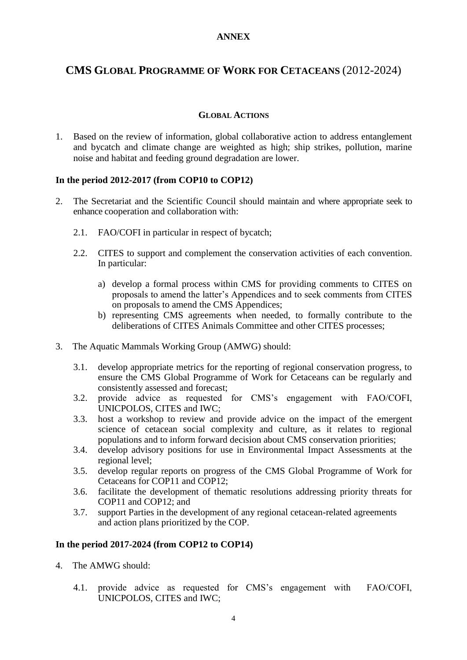## **ANNEX**

## **CMS GLOBAL PROGRAMME OF WORK FOR CETACEANS** (2012-2024)

#### **GLOBAL ACTIONS**

1. Based on the review of information, global collaborative action to address entanglement and bycatch and climate change are weighted as high; ship strikes, pollution, marine noise and habitat and feeding ground degradation are lower.

#### **In the period 2012-2017 (from COP10 to COP12)**

- 2. The Secretariat and the Scientific Council should maintain and where appropriate seek to enhance cooperation and collaboration with:
	- 2.1. FAO/COFI in particular in respect of bycatch;
	- 2.2. CITES to support and complement the conservation activities of each convention. In particular:
		- a) develop a formal process within CMS for providing comments to CITES on proposals to amend the latter's Appendices and to seek comments from CITES on proposals to amend the CMS Appendices;
		- b) representing CMS agreements when needed, to formally contribute to the deliberations of CITES Animals Committee and other CITES processes;
- 3. The Aquatic Mammals Working Group (AMWG) should:
	- 3.1. develop appropriate metrics for the reporting of regional conservation progress, to ensure the CMS Global Programme of Work for Cetaceans can be regularly and consistently assessed and forecast;
	- 3.2. provide advice as requested for CMS's engagement with FAO/COFI, UNICPOLOS, CITES and IWC;
	- 3.3. host a workshop to review and provide advice on the impact of the emergent science of cetacean social complexity and culture, as it relates to regional populations and to inform forward decision about CMS conservation priorities;
	- 3.4. develop advisory positions for use in Environmental Impact Assessments at the regional level;
	- 3.5. develop regular reports on progress of the CMS Global Programme of Work for Cetaceans for COP11 and COP12;
	- 3.6. facilitate the development of thematic resolutions addressing priority threats for COP11 and COP12; and
	- 3.7. support Parties in the development of any regional cetacean-related agreements and action plans prioritized by the COP.

- 4. The AMWG should:
	- 4.1. provide advice as requested for CMS's engagement with FAO/COFI, UNICPOLOS, CITES and IWC;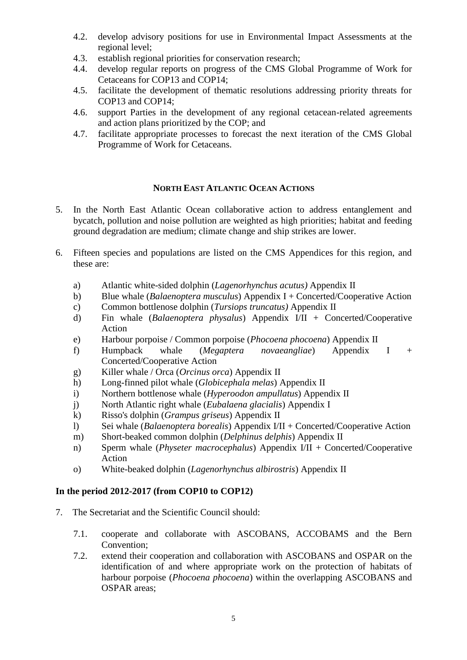- 4.2. develop advisory positions for use in Environmental Impact Assessments at the regional level;
- 4.3. establish regional priorities for conservation research;
- 4.4. develop regular reports on progress of the CMS Global Programme of Work for Cetaceans for COP13 and COP14;
- 4.5. facilitate the development of thematic resolutions addressing priority threats for COP13 and COP14;
- 4.6. support Parties in the development of any regional cetacean-related agreements and action plans prioritized by the COP; and
- 4.7. facilitate appropriate processes to forecast the next iteration of the CMS Global Programme of Work for Cetaceans.

#### **NORTH EAST ATLANTIC OCEAN ACTIONS**

- 5. In the North East Atlantic Ocean collaborative action to address entanglement and bycatch, pollution and noise pollution are weighted as high priorities; habitat and feeding ground degradation are medium; climate change and ship strikes are lower.
- 6. Fifteen species and populations are listed on the CMS Appendices for this region, and these are:
	- a) Atlantic white-sided dolphin (*[Lagenorhynchus acutus\)](http://www.cms.int/reports/small_cetaceans/data/l_acutus/l_acutus.htm#_blank)* Appendix II
	- b) Blue whale (*Balaenoptera musculus*) Appendix I + Concerted/Cooperative Action
	- c) Common bottlenose dolphin (*[Tursiops truncatus\)](http://www.cms.int/reports/small_cetaceans/data/t_truncatus/t_truncatus.htm#_blank)* Appendix II
	- d) Fin whale (*Balaenoptera physalus*) Appendix I/II + Concerted/Cooperative Action
	- e) Harbour porpoise / Common porpoise (*[Phocoena phocoena](http://www.cms.int/reports/small_cetaceans/data/P_phocoena/p_phocoena.htm#_blank)*) Appendix II
	- f) Humpback whale (*Megaptera novaeangliae*) Appendix I + Concerted/Cooperative Action
	- g) Killer whale / Orca (*[Orcinus orca](http://www.cms.int/reports/small_cetaceans/data/o_orca/o_orca.htm#_blank)*) Appendix II
	- h) Long-finned pilot whale (*[Globicephala melas](http://www.cms.int/reports/small_cetaceans/data/G_melas/g_melas.htm#_blank)*) Appendix II
	- i) Northern bottlenose whale (*[Hyperoodon ampullatus](http://www.cms.int/reports/small_cetaceans/data/H_ampullatus/h_ampullatus.htm#_blank)*) Appendix II
	- j) North Atlantic right whale (*Eubalaena glacialis*) Appendix I
	- k) Risso's dolphin (*[Grampus griseus](http://www.cms.int/reports/small_cetaceans/data/g_griseus/g_griseus.htm#_blank)*) Appendix II
	- l) Sei whale (*Balaenoptera borealis*) Appendix I/II + Concerted/Cooperative Action
	- m) Short-beaked common dolphin (*[Delphinus delphis](http://www.cms.int/reports/small_cetaceans/data/d_delphis/d_delphis.htm#_blank)*) Appendix II
	- n) Sperm whale (*[Physeter macrocephalus](http://www.cms.int/reports/small_cetaceans/data/P_macrocephalus/P_macrocephalus.htm#_blank)*) Appendix I/II + Concerted/Cooperative Action
	- o) White-beaked dolphin (*[Lagenorhynchus albirostris](http://www.cms.int/reports/small_cetaceans/data/l_albirostris/l_albirostris.htm#_blank)*) Appendix II

## **In the period 2012-2017 (from COP10 to COP12)**

- 7. The Secretariat and the Scientific Council should:
	- 7.1. cooperate and collaborate with ASCOBANS, ACCOBAMS and the Bern Convention;
	- 7.2. extend their cooperation and collaboration with ASCOBANS and OSPAR on the identification of and where appropriate work on the protection of habitats of harbour porpoise (*Phocoena phocoena*) within the overlapping ASCOBANS and OSPAR areas;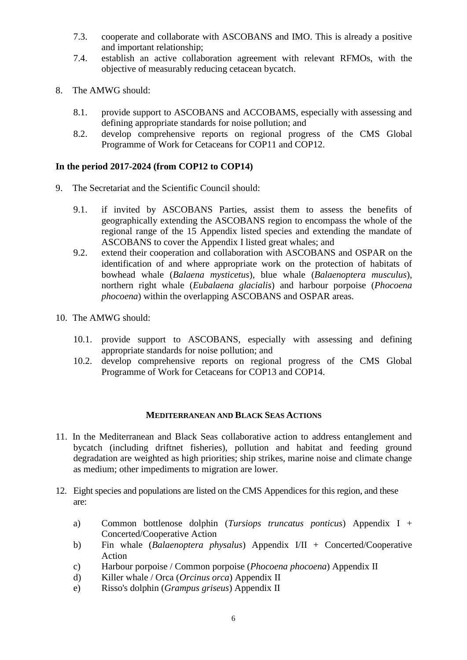- 7.3. cooperate and collaborate with ASCOBANS and IMO. This is already a positive and important relationship;
- 7.4. establish an active collaboration agreement with relevant RFMOs, with the objective of measurably reducing cetacean bycatch.
- 8. The AMWG should:
	- 8.1. provide support to ASCOBANS and ACCOBAMS, especially with assessing and defining appropriate standards for noise pollution; and
	- 8.2. develop comprehensive reports on regional progress of the CMS Global Programme of Work for Cetaceans for COP11 and COP12.

## **In the period 2017-2024 (from COP12 to COP14)**

- 9. The Secretariat and the Scientific Council should:
	- 9.1. if invited by ASCOBANS Parties, assist them to assess the benefits of geographically extending the ASCOBANS region to encompass the whole of the regional range of the 15 Appendix listed species and extending the mandate of ASCOBANS to cover the Appendix I listed great whales; and
	- 9.2. extend their cooperation and collaboration with ASCOBANS and OSPAR on the identification of and where appropriate work on the protection of habitats of bowhead whale (*Balaena mysticetus*), blue whale (*Balaenoptera musculus*), northern right whale (*Eubalaena glacialis*) and harbour porpoise (*Phocoena phocoena*) within the overlapping ASCOBANS and OSPAR areas.
- 10. The AMWG should:
	- 10.1. provide support to ASCOBANS, especially with assessing and defining appropriate standards for noise pollution; and
	- 10.2. develop comprehensive reports on regional progress of the CMS Global Programme of Work for Cetaceans for COP13 and COP14.

#### **MEDITERRANEAN AND BLACK SEAS ACTIONS**

- 11. In the Mediterranean and Black Seas collaborative action to address entanglement and bycatch (including driftnet fisheries), pollution and habitat and feeding ground degradation are weighted as high priorities; ship strikes, marine noise and climate change as medium; other impediments to migration are lower.
- 12. Eight species and populations are listed on the CMS Appendices for this region, and these are:
	- a) Common bottlenose dolphin (*[Tursiops truncatus ponticus](http://www.cms.int/reports/small_cetaceans/data/t_truncatus/t_truncatus.htm#_blank)*) Appendix I + Concerted/Cooperative Action
	- b) Fin whale (*Balaenoptera physalus*) Appendix I/II + Concerted/Cooperative Action
	- c) Harbour porpoise / Common porpoise (*[Phocoena phocoena](http://www.cms.int/reports/small_cetaceans/data/P_phocoena/p_phocoena.htm#_blank)*) Appendix II
	- d) Killer whale / Orca (*[Orcinus orca](http://www.cms.int/reports/small_cetaceans/data/o_orca/o_orca.htm#_blank)*) Appendix II
	- e) Risso's dolphin (*[Grampus griseus](http://www.cms.int/reports/small_cetaceans/data/g_griseus/g_griseus.htm#_blank)*) Appendix II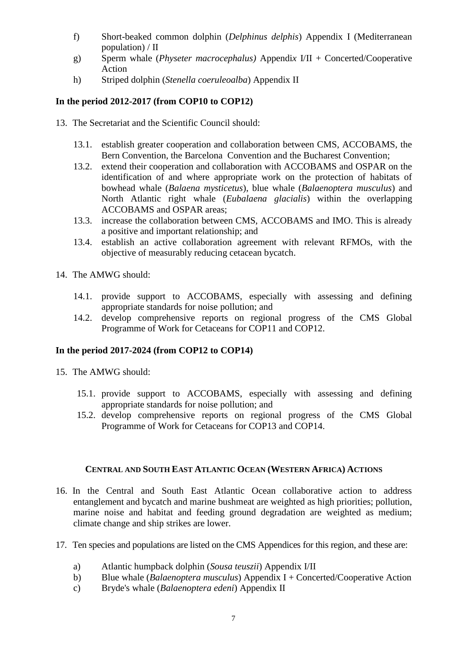- f) Short-beaked common dolphin (*[Delphinus delphis](http://www.cms.int/reports/small_cetaceans/data/d_delphis/d_delphis.htm#_blank)*) Appendix I (Mediterranean population) / II
- g) Sperm whale (*[Physeter macrocephalus\)](http://www.cms.int/reports/small_cetaceans/data/P_macrocephalus/P_macrocephalus.htm#_blank)* Appendi*x* I/II + Concerted/Cooperative Action
- h) Striped dolphin (*[Stenella coeruleoalba](http://www.cms.int/reports/small_cetaceans/data/S_ceoruleoalba/s_coeruleoalba.htm#_blank)*) Appendix II

- 13. The Secretariat and the Scientific Council should:
	- 13.1. establish greater cooperation and collaboration between CMS, ACCOBAMS, the Bern Convention, the Barcelona Convention and the Bucharest Convention;
	- 13.2. extend their cooperation and collaboration with ACCOBAMS and OSPAR on the identification of and where appropriate work on the protection of habitats of bowhead whale (*Balaena mysticetus*), blue whale (*Balaenoptera musculus*) and North Atlantic right whale (*Eubalaena glacialis*) within the overlapping ACCOBAMS and OSPAR areas;
	- 13.3. increase the collaboration between CMS, ACCOBAMS and IMO. This is already a positive and important relationship; and
	- 13.4. establish an active collaboration agreement with relevant RFMOs, with the objective of measurably reducing cetacean bycatch.
- 14. The AMWG should:
	- 14.1. provide support to ACCOBAMS, especially with assessing and defining appropriate standards for noise pollution; and
	- 14.2. develop comprehensive reports on regional progress of the CMS Global Programme of Work for Cetaceans for COP11 and COP12.

## **In the period 2017-2024 (from COP12 to COP14)**

- 15. The AMWG should:
	- 15.1. provide support to ACCOBAMS, especially with assessing and defining appropriate standards for noise pollution; and
	- 15.2. develop comprehensive reports on regional progress of the CMS Global Programme of Work for Cetaceans for COP13 and COP14.

#### **CENTRAL AND SOUTH EAST ATLANTIC OCEAN (WESTERN AFRICA) ACTIONS**

- 16. In the Central and South East Atlantic Ocean collaborative action to address entanglement and bycatch and marine bushmeat are weighted as high priorities; pollution, marine noise and habitat and feeding ground degradation are weighted as medium; climate change and ship strikes are lower.
- 17. Ten species and populations are listed on the CMS Appendices for this region, and these are:
	- a) Atlantic humpback dolphin (*[Sousa teuszii](http://www.cms.int/reports/small_cetaceans/data/S_teuszii/s_teuszii.htm#_blank)*) Appendix I/II
	- b) Blue whale (*Balaenoptera musculus*) Appendix I + Concerted/Cooperative Action
	- c) Bryde's whale (*Balaenoptera edeni*) Appendix II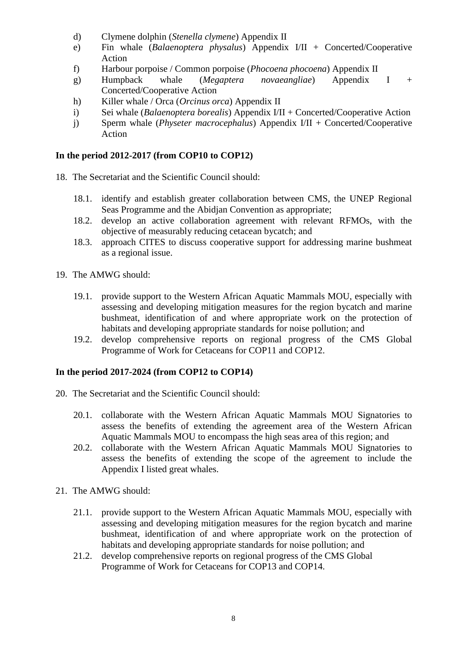- d) Clymene dolphin (*[Stenella clymene](http://www.cms.int/reports/small_cetaceans/data/S_clymene/s_clymene.htm#_blank)*) Appendix II
- e) Fin whale (*Balaenoptera physalus*) Appendix I/II + Concerted/Cooperative Action
- f) Harbour porpoise / Common porpoise (*[Phocoena phocoena](http://www.cms.int/reports/small_cetaceans/data/P_phocoena/p_phocoena.htm#_blank)*) Appendix II
- g) Humpback whale (*Megaptera novaeangliae*) Appendix I + Concerted/Cooperative Action
- h) Killer whale / Orca (*[Orcinus orca](http://www.cms.int/reports/small_cetaceans/data/o_orca/o_orca.htm#_blank)*) Appendix II
- i) Sei whale (*Balaenoptera borealis*) Appendix I/II + Concerted/Cooperative Action
- j) Sperm whale (*[Physeter macrocephalus](http://www.cms.int/reports/small_cetaceans/data/P_macrocephalus/P_macrocephalus.htm#_blank)*) Appendix I/II + Concerted/Cooperative Action

- 18. The Secretariat and the Scientific Council should:
	- 18.1. identify and establish greater collaboration between CMS, the UNEP Regional Seas Programme and the Abidjan Convention as appropriate;
	- 18.2. develop an active collaboration agreement with relevant RFMOs, with the objective of measurably reducing cetacean bycatch; and
	- 18.3. approach CITES to discuss cooperative support for addressing marine bushmeat as a regional issue.
- 19. The AMWG should:
	- 19.1. provide support to the Western African Aquatic Mammals MOU, especially with assessing and developing mitigation measures for the region bycatch and marine bushmeat, identification of and where appropriate work on the protection of habitats and developing appropriate standards for noise pollution; and
	- 19.2. develop comprehensive reports on regional progress of the CMS Global Programme of Work for Cetaceans for COP11 and COP12.

- 20. The Secretariat and the Scientific Council should:
	- 20.1. collaborate with the Western African Aquatic Mammals MOU Signatories to assess the benefits of extending the agreement area of the Western African Aquatic Mammals MOU to encompass the high seas area of this region; and
	- 20.2. collaborate with the Western African Aquatic Mammals MOU Signatories to assess the benefits of extending the scope of the agreement to include the Appendix I listed great whales.
- 21. The AMWG should:
	- 21.1. provide support to the Western African Aquatic Mammals MOU, especially with assessing and developing mitigation measures for the region bycatch and marine bushmeat, identification of and where appropriate work on the protection of habitats and developing appropriate standards for noise pollution; and
	- 21.2. develop comprehensive reports on regional progress of the CMS Global Programme of Work for Cetaceans for COP13 and COP14.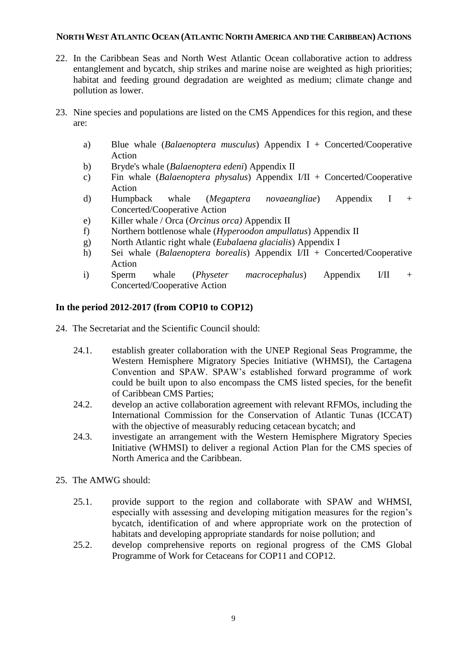#### **NORTH WEST ATLANTIC OCEAN (ATLANTIC NORTH AMERICA AND THE CARIBBEAN) ACTIONS**

- 22. In the Caribbean Seas and North West Atlantic Ocean collaborative action to address entanglement and bycatch, ship strikes and marine noise are weighted as high priorities; habitat and feeding ground degradation are weighted as medium; climate change and pollution as lower.
- 23. Nine species and populations are listed on the CMS Appendices for this region, and these are:
	- a) Blue whale (*Balaenoptera musculus*) Appendix I + Concerted/Cooperative Action
	- b) Bryde's whale (*Balaenoptera edeni*) Appendix II
	- c) Fin whale (*Balaenoptera physalus*) Appendix I/II + Concerted/Cooperative Action
	- d) Humpback whale (*Megaptera novaeangliae*) Appendix I + Concerted/Cooperative Action
	- e) Killer whale / Orca (*[Orcinus orca\)](http://www.cms.int/reports/small_cetaceans/data/o_orca/o_orca.htm#_blank)* Appendix II
	- f) Northern bottlenose whale (*[Hyperoodon ampullatus](http://www.cms.int/reports/small_cetaceans/data/H_ampullatus/h_ampullatus.htm#_blank)*) Appendix II
	- g) North Atlantic right whale (*Eubalaena glacialis*) Appendix I
	- h) Sei whale (*Balaenoptera borealis*) Appendix I/II + Concerted/Cooperative Action
	- i) Sperm whale (*[Physeter macrocephalus](http://www.cms.int/reports/small_cetaceans/data/P_macrocephalus/P_macrocephalus.htm#_blank)*) Appendix I/II + Concerted/Cooperative Action

## **In the period 2012-2017 (from COP10 to COP12)**

- 24. The Secretariat and the Scientific Council should:
	- 24.1. establish greater collaboration with the UNEP Regional Seas Programme, the Western Hemisphere Migratory Species Initiative (WHMSI), the Cartagena Convention and SPAW. SPAW's established forward programme of work could be built upon to also encompass the CMS listed species, for the benefit of Caribbean CMS Parties;
	- 24.2. develop an active collaboration agreement with relevant RFMOs, including the International Commission for the Conservation of Atlantic Tunas (ICCAT) with the objective of measurably reducing cetacean bycatch; and
	- 24.3. investigate an arrangement with the Western Hemisphere Migratory Species Initiative (WHMSI) to deliver a regional Action Plan for the CMS species of North America and the Caribbean.
- 25. The AMWG should:
	- 25.1. provide support to the region and collaborate with SPAW and WHMSI, especially with assessing and developing mitigation measures for the region's bycatch, identification of and where appropriate work on the protection of habitats and developing appropriate standards for noise pollution; and
	- 25.2. develop comprehensive reports on regional progress of the CMS Global Programme of Work for Cetaceans for COP11 and COP12.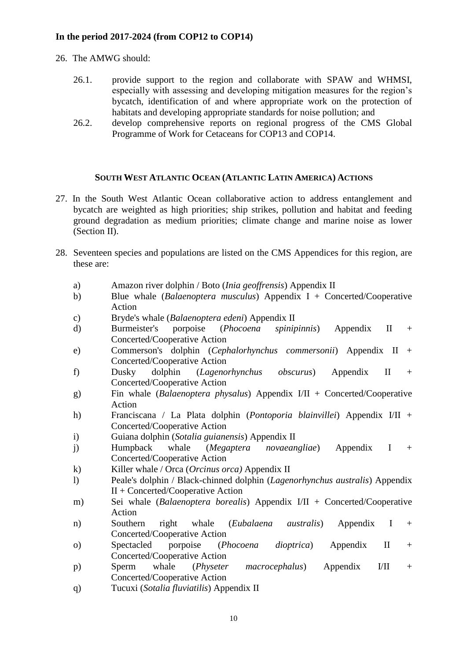## **In the period 2017-2024 (from COP12 to COP14)**

- 26. The AMWG should:
	- 26.1. provide support to the region and collaborate with SPAW and WHMSI, especially with assessing and developing mitigation measures for the region's bycatch, identification of and where appropriate work on the protection of habitats and developing appropriate standards for noise pollution; and
	- 26.2. develop comprehensive reports on regional progress of the CMS Global Programme of Work for Cetaceans for COP13 and COP14.

#### **SOUTH WEST ATLANTIC OCEAN (ATLANTIC LATIN AMERICA) ACTIONS**

- 27. In the South West Atlantic Ocean collaborative action to address entanglement and bycatch are weighted as high priorities; ship strikes, pollution and habitat and feeding ground degradation as medium priorities; climate change and marine noise as lower (Section II).
- 28. Seventeen species and populations are listed on the CMS Appendices for this region, are these are:
	- a) Amazon river dolphin / Boto (*[Inia geoffrensis](http://www.cms.int/reports/small_cetaceans/data/I_geoffrensis/I_geoffrensis.htm#_blank)*) Appendix II
	- b) Blue whale (*Balaenoptera musculus*) Appendix I + Concerted/Cooperative Action
	- c) Bryde's whale (*Balaenoptera edeni*) Appendix II
	- d) Burmeister's porpoise (*[Phocoena spinipinnis](http://www.cms.int/reports/small_cetaceans/data/p_spinipinnis/p_spinipinnis.htm)*) Appendix II + Concerted/Cooperative Action
	- e) Commerson's dolphin (*[Cephalorhynchus commersonii](http://www.cms.int/reports/small_cetaceans/data/c_commersonii/c_commersonii.htm#_blank)*) Appendix II + Concerted/Cooperative Action
	- f) Dusky dolphin (*[Lagenorhynchus obscurus](http://www.cms.int/reports/small_cetaceans/data/l_obscurus/l_obscurus.htm#_blank)*) Appendix II + Concerted/Cooperative Action
	- g) Fin whale (*Balaenoptera physalus*) Appendix I/II + Concerted/Cooperative Action
	- h) Franciscana / La Plata dolphin (*[Pontoporia blainvillei](http://www.cms.int/reports/small_cetaceans/data/P_blainvillei/p_blainvillei.htm)*) Appendix I/II + Concerted/Cooperative Action
	- i) Guiana dolphin (*[Sotalia guianensis](http://www.cms.int/reports/small_cetaceans/data/S_guianensis/s_guianensis.htm#_blank)*) Appendix II
	- j) Humpback whale (*Megaptera novaeangliae*) Appendix I + Concerted/Cooperative Action
	- k) Killer whale / Orca (*[Orcinus orca\)](http://www.cms.int/reports/small_cetaceans/data/o_orca/o_orca.htm#_blank)* Appendix II
	- l) Peale's dolphin / Black-chinned dolphin (*[Lagenorhynchus australis](http://www.cms.int/reports/small_cetaceans/data/L_australis/L_australis.htm#_blank)*) Appendix II + Concerted/Cooperative Action
	- m) Sei whale (*Balaenoptera borealis*) Appendix I/II + Concerted/Cooperative Action
	- n) Southern right whale (*Eubalaena australis*) Appendix I + Concerted/Cooperative Action
	- o) Spectacled porpoise (*[Phocoena dioptrica](http://www.cms.int/reports/small_cetaceans/data/P_dioptrica/p_dioptrica.htm)*) Appendix II + Concerted/Cooperative Action
	- p) Sperm whale (*[Physeter macrocephalus](http://www.cms.int/reports/small_cetaceans/data/P_macrocephalus/P_macrocephalus.htm#_blank)*) Appendix I/II + Concerted/Cooperative Action
	- q) Tucuxi (*[Sotalia fluviatilis](http://www.cms.int/reports/small_cetaceans/data/S_fluviatilis/s_fluviatilis.htm#_blank)*) Appendix II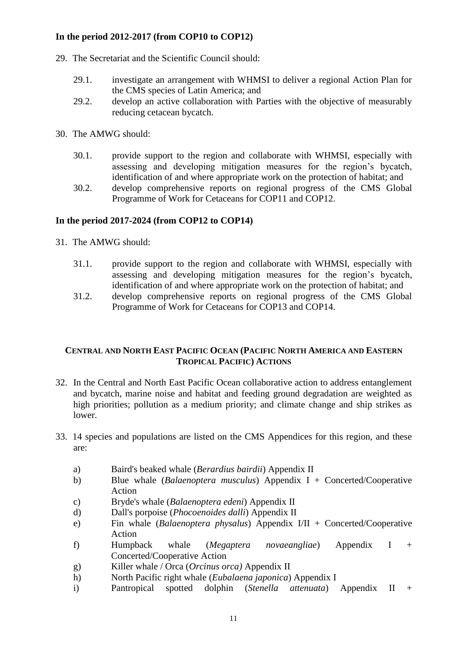- 29. The Secretariat and the Scientific Council should:
	- 29.1. investigate an arrangement with WHMSI to deliver a regional Action Plan for the CMS species of Latin America; and
	- 29.2. develop an active collaboration with Parties with the objective of measurably reducing cetacean bycatch.
- 30. The AMWG should:
	- 30.1. provide support to the region and collaborate with WHMSI, especially with assessing and developing mitigation measures for the region's bycatch, identification of and where appropriate work on the protection of habitat; and
	- 30.2. develop comprehensive reports on regional progress of the CMS Global Programme of Work for Cetaceans for COP11 and COP12.

#### **In the period 2017-2024 (from COP12 to COP14)**

- 31. The AMWG should:
	- 31.1. provide support to the region and collaborate with WHMSI, especially with assessing and developing mitigation measures for the region's bycatch, identification of and where appropriate work on the protection of habitat; and
	- 31.2. develop comprehensive reports on regional progress of the CMS Global Programme of Work for Cetaceans for COP13 and COP14.

#### **CENTRAL AND NORTH EAST PACIFIC OCEAN (PACIFIC NORTH AMERICA AND EASTERN TROPICAL PACIFIC) ACTIONS**

- 32. In the Central and North East Pacific Ocean collaborative action to address entanglement and bycatch, marine noise and habitat and feeding ground degradation are weighted as high priorities; pollution as a medium priority; and climate change and ship strikes as lower.
- 33. 14 species and populations are listed on the CMS Appendices for this region, and these are:
	- a) Baird's beaked whale (*[Berardius bairdii](http://www.cms.int/reports/small_cetaceans/data/b_bairdii/b_bairdii.htm#_blank)*) Appendix II
	- b) Blue whale (*Balaenoptera musculus*) Appendix I + Concerted/Cooperative Action
	- c) Bryde's whale (*Balaenoptera edeni*) Appendix II
	- d) Dall's porpoise (*[Phocoenoides dalli](http://www.cms.int/reports/small_cetaceans/data/P_dalli/p_dalli.htm#_blank)*) Appendix II
	- e) Fin whale (*Balaenoptera physalus*) Appendix I/II + Concerted/Cooperative Action
	- f) Humpback whale (*Megaptera novaeangliae*) Appendix I + Concerted/Cooperative Action
	- g) Killer whale / Orca (*[Orcinus orca\)](http://www.cms.int/reports/small_cetaceans/data/o_orca/o_orca.htm#_blank)* Appendix II
	- h) North Pacific right whale (*Eubalaena japonica*) Appendix I
	- i) Pantropical spotted dolphin (*[Stenella attenuata](http://www.cms.int/reports/small_cetaceans/data/S_attenuata/s_attenuata.htm#_blank)*) Appendix II +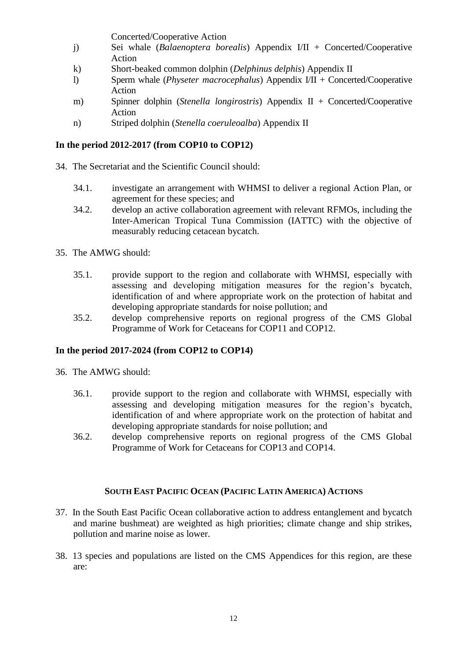Concerted/Cooperative Action

- j) Sei whale (*Balaenoptera borealis*) Appendix I/II + Concerted/Cooperative Action
- k) Short-beaked common dolphin (*[Delphinus delphis](http://www.cms.int/reports/small_cetaceans/data/d_delphis/d_delphis.htm#_blank)*) Appendix II
- l) Sperm whale (*[Physeter macrocephalus](http://www.cms.int/reports/small_cetaceans/data/P_macrocephalus/P_macrocephalus.htm#_blank)*) Appendix I/II + Concerted/Cooperative Action
- m) Spinner dolphin (*[Stenella longirostris](http://www.cms.int/reports/small_cetaceans/data/S_longirostris/s_longirostris.htm)*) Appendix II + Concerted/Cooperative Action
- n) Striped dolphin (*[Stenella coeruleoalba](http://www.cms.int/reports/small_cetaceans/data/S_ceoruleoalba/s_coeruleoalba.htm#_blank)*) Appendix II

## **In the period 2012-2017 (from COP10 to COP12)**

- 34. The Secretariat and the Scientific Council should:
	- 34.1. investigate an arrangement with WHMSI to deliver a regional Action Plan, or agreement for these species; and
	- 34.2. develop an active collaboration agreement with relevant RFMOs, including the Inter-American Tropical Tuna Commission (IATTC) with the objective of measurably reducing cetacean bycatch.
- 35. The AMWG should:
	- 35.1. provide support to the region and collaborate with WHMSI, especially with assessing and developing mitigation measures for the region's bycatch, identification of and where appropriate work on the protection of habitat and developing appropriate standards for noise pollution; and
	- 35.2. develop comprehensive reports on regional progress of the CMS Global Programme of Work for Cetaceans for COP11 and COP12.

## **In the period 2017-2024 (from COP12 to COP14)**

- 36. The AMWG should:
	- 36.1. provide support to the region and collaborate with WHMSI, especially with assessing and developing mitigation measures for the region's bycatch, identification of and where appropriate work on the protection of habitat and developing appropriate standards for noise pollution; and
	- 36.2. develop comprehensive reports on regional progress of the CMS Global Programme of Work for Cetaceans for COP13 and COP14.

## **SOUTH EAST PACIFIC OCEAN (PACIFIC LATIN AMERICA) ACTIONS**

- 37. In the South East Pacific Ocean collaborative action to address entanglement and bycatch and marine bushmeat) are weighted as high priorities; climate change and ship strikes, pollution and marine noise as lower.
- 38. 13 species and populations are listed on the CMS Appendices for this region, are these are: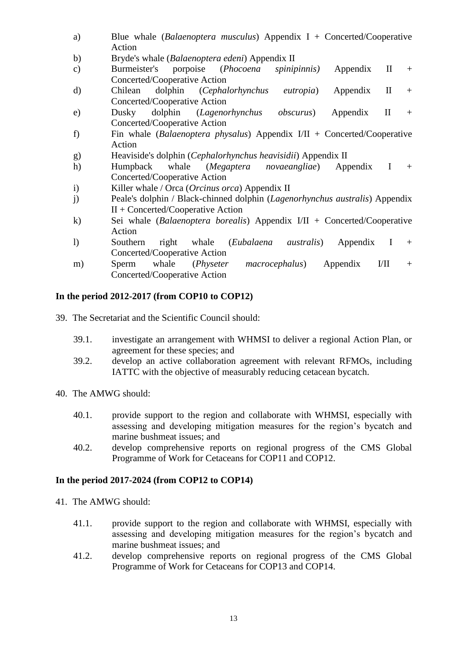- a) Blue whale (*Balaenoptera musculus*) Appendix I + Concerted/Cooperative Action
- b) Bryde's whale (*Balaenoptera edeni*) Appendix II
- c) Burmeister's porpoise (*[Phocoena spinipinnis\)](http://www.cms.int/reports/small_cetaceans/data/p_spinipinnis/p_spinipinnis.htm)* Appendix II + Concerted/Cooperative Action
- d) Chilean dolphin (*[Cephalorhynchus eutropia](http://www.cms.int/reports/small_cetaceans/data/c_eutropia/c_eutropia.htm#_blank)*) Appendix II + Concerted/Cooperative Action
- e) Dusky dolphin (*[Lagenorhynchus obscurus](http://www.cms.int/reports/small_cetaceans/data/l_obscurus/l_obscurus.htm#_blank)*) Appendix II + Concerted/Cooperative Action
- f) Fin whale (*Balaenoptera physalus*) Appendix I/II + Concerted/Cooperative Action
- g) Heaviside's dolphin (*[Cephalorhynchus heavisidii](http://www.cms.int/reports/small_cetaceans/data/c_heavisidii/c_heavisidii.htm#_blank)*) Appendix II
- h) Humpback whale (*Megaptera novaeangliae*) Appendix I + Concerted/Cooperative Action
- i) Killer whale / Orca (*[Orcinus orca](http://www.cms.int/reports/small_cetaceans/data/o_orca/o_orca.htm#_blank)*) Appendix II
- j) Peale's dolphin / Black-chinned dolphin (*[Lagenorhynchus australis](http://www.cms.int/reports/small_cetaceans/data/L_australis/L_australis.htm#_blank)*) Appendix II + Concerted/Cooperative Action
- k) Sei whale (*Balaenoptera borealis*) Appendix I/II + Concerted/Cooperative Action
- l) Southern right whale (*Eubalaena australis*) Appendix I + Concerted/Cooperative Action
- m) Sperm whale (*[Physeter macrocephalus](http://www.cms.int/reports/small_cetaceans/data/P_macrocephalus/P_macrocephalus.htm#_blank)*) Appendix I/II + Concerted/Cooperative Action

- 39. The Secretariat and the Scientific Council should:
	- 39.1. investigate an arrangement with WHMSI to deliver a regional Action Plan, or agreement for these species; and
	- 39.2. develop an active collaboration agreement with relevant RFMOs, including IATTC with the objective of measurably reducing cetacean bycatch.
- 40. The AMWG should:
	- 40.1. provide support to the region and collaborate with WHMSI, especially with assessing and developing mitigation measures for the region's bycatch and marine bushmeat issues; and
	- 40.2. develop comprehensive reports on regional progress of the CMS Global Programme of Work for Cetaceans for COP11 and COP12.

- 41. The AMWG should:
	- 41.1. provide support to the region and collaborate with WHMSI, especially with assessing and developing mitigation measures for the region's bycatch and marine bushmeat issues; and
	- 41.2. develop comprehensive reports on regional progress of the CMS Global Programme of Work for Cetaceans for COP13 and COP14.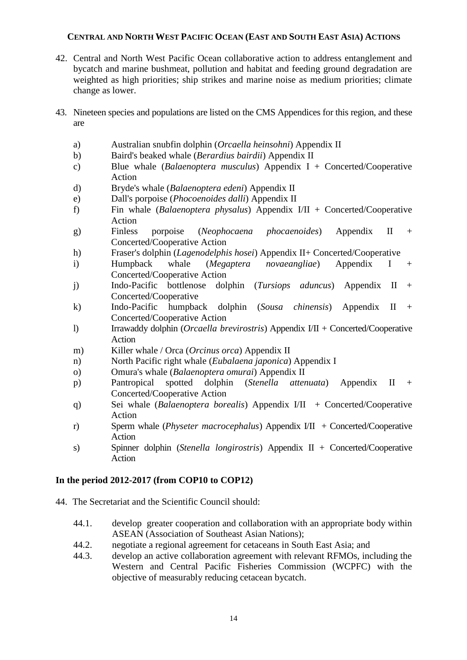## **CENTRAL AND NORTH WEST PACIFIC OCEAN (EAST AND SOUTH EAST ASIA) ACTIONS**

- 42. Central and North West Pacific Ocean collaborative action to address entanglement and bycatch and marine bushmeat, pollution and habitat and feeding ground degradation are weighted as high priorities; ship strikes and marine noise as medium priorities; climate change as lower.
- 43. Nineteen species and populations are listed on the CMS Appendices for this region, and these are
	- a) Australian snubfin dolphin (*[Orcaella heinsohni](http://www.cms.int/reports/small_cetaceans/data/O_heinsohni/O_heinsohni.htm#_blank)*) Appendix II
	- b) Baird's beaked whale (*[Berardius bairdii](http://www.cms.int/reports/small_cetaceans/data/b_bairdii/b_bairdii.htm#_blank)*) Appendix II
	- c) Blue whale (*Balaenoptera musculus*) Appendix I + Concerted/Cooperative Action
	- d) Bryde's whale (*Balaenoptera edeni*) Appendix II
	- e) Dall's porpoise (*[Phocoenoides dalli](http://www.cms.int/reports/small_cetaceans/data/P_dalli/p_dalli.htm#_blank)*) Appendix II
	- f) Fin whale (*Balaenoptera physalus*) Appendix I/II + Concerted/Cooperative Action
	- g) Finless porpoise (*[Neophocaena phocaenoides](http://www.cms.int/reports/small_cetaceans/data/N_phocaenoides/n_phocaenoides.htm#_blank)*) Appendix II + Concerted/Cooperative Action
	- h) Fraser's dolphin (*[Lagenodelphis hosei](http://www.cms.int/reports/small_cetaceans/data/L_hosei/L_hosei.htm#_blank)*) Appendix II+ Concerted/Cooperative
	- i) Humpback whale (*Megaptera novaeangliae*) Appendix I + Concerted/Cooperative Action
	- j) Indo-Pacific bottlenose dolphin (*[Tursiops aduncus](http://www.cms.int/reports/small_cetaceans/data/t_aduncus/t_aduncus.htm#_blank)*) Appendix II + Concerted/Cooperative
	- k) Indo-Pacific humpback dolphin (*[Sousa chinensis](http://www.cms.int/reports/small_cetaceans/data/S_chinensis/s_chinensis.htm#_blank)*) Appendix II + Concerted/Cooperative Action
	- l) Irrawaddy dolphin (*[Orcaella brevirostris](http://www.cms.int/reports/small_cetaceans/data/O_brevirostris/O_brevirostris.htm#_blank)*) Appendix I/II + Concerted/Cooperative Action
	- m) Killer whale / Orca (*[Orcinus orca](http://www.cms.int/reports/small_cetaceans/data/o_orca/o_orca.htm#_blank)*) Appendix II
	- n) North Pacific right whale (*Eubalaena japonica*) Appendix I
	- o) Omura's whale (*Balaenoptera omurai*) Appendix II
	- p) Pantropical spotted dolphin (*[Stenella attenuata](http://www.cms.int/reports/small_cetaceans/data/S_attenuata/s_attenuata.htm#_blank)*) Appendix II + Concerted/Cooperative Action
	- q) Sei whale (*Balaenoptera borealis*) Appendix I/II + Concerted/Cooperative Action
	- r) Sperm whale (*[Physeter macrocephalus](http://www.cms.int/reports/small_cetaceans/data/P_macrocephalus/P_macrocephalus.htm#_blank)*) Appendix I/II + Concerted/Cooperative Action
	- s) Spinner dolphin (*[Stenella longirostris](http://www.cms.int/reports/small_cetaceans/data/S_longirostris/s_longirostris.htm)*) Appendix II + Concerted/Cooperative Action

## **In the period 2012-2017 (from COP10 to COP12)**

- 44. The Secretariat and the Scientific Council should:
	- 44.1. develop greater cooperation and collaboration with an appropriate body within ASEAN (Association of Southeast Asian Nations);
	- 44.2. negotiate a regional agreement for cetaceans in South East Asia; and
	- 44.3. develop an active collaboration agreement with relevant RFMOs, including the Western and Central Pacific Fisheries Commission (WCPFC) with the objective of measurably reducing cetacean bycatch.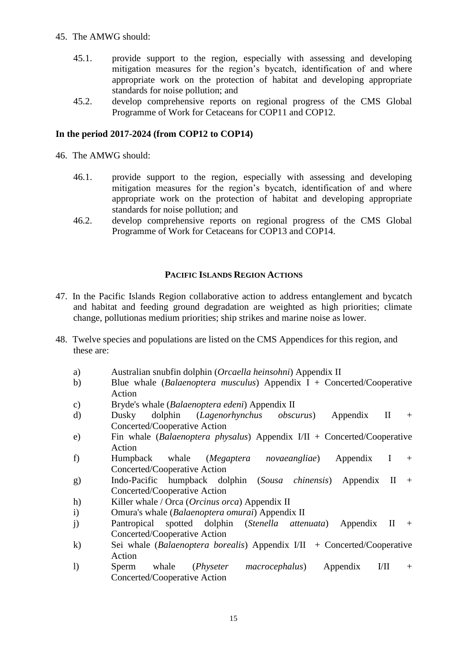## 45. The AMWG should:

- 45.1. provide support to the region, especially with assessing and developing mitigation measures for the region's bycatch, identification of and where appropriate work on the protection of habitat and developing appropriate standards for noise pollution; and
- 45.2. develop comprehensive reports on regional progress of the CMS Global Programme of Work for Cetaceans for COP11 and COP12.

#### **In the period 2017-2024 (from COP12 to COP14)**

46. The AMWG should:

- 46.1. provide support to the region, especially with assessing and developing mitigation measures for the region's bycatch, identification of and where appropriate work on the protection of habitat and developing appropriate standards for noise pollution; and
- 46.2. develop comprehensive reports on regional progress of the CMS Global Programme of Work for Cetaceans for COP13 and COP14.

#### **PACIFIC ISLANDS REGION ACTIONS**

- 47. In the Pacific Islands Region collaborative action to address entanglement and bycatch and habitat and feeding ground degradation are weighted as high priorities; climate change, pollutionas medium priorities; ship strikes and marine noise as lower.
- 48. Twelve species and populations are listed on the CMS Appendices for this region, and these are:
	- a) Australian snubfin dolphin (*[Orcaella heinsohni](http://www.cms.int/reports/small_cetaceans/data/O_heinsohni/O_heinsohni.htm#_blank)*) Appendix II
	- b) Blue whale (*Balaenoptera musculus*) Appendix I + Concerted/Cooperative Action
	- c) Bryde's whale (*Balaenoptera edeni*) Appendix II
	- d) Dusky dolphin (*[Lagenorhynchus obscurus](http://www.cms.int/reports/small_cetaceans/data/l_obscurus/l_obscurus.htm#_blank)*) Appendix II + Concerted/Cooperative Action
	- e) Fin whale (*Balaenoptera physalus*) Appendix I/II + Concerted/Cooperative Action
	- f) Humpback whale (*Megaptera novaeangliae*) Appendix I + Concerted/Cooperative Action
	- g) Indo-Pacific humpback dolphin (*[Sousa chinensis](http://www.cms.int/reports/small_cetaceans/data/S_chinensis/s_chinensis.htm#_blank)*) Appendix II + Concerted/Cooperative Action
	- h) Killer whale / Orca (*[Orcinus orca](http://www.cms.int/reports/small_cetaceans/data/o_orca/o_orca.htm#_blank)*) Appendix II
	- i) Omura's whale (*Balaenoptera omurai*) Appendix II
	- j) Pantropical spotted dolphin (*[Stenella attenuata](http://www.cms.int/reports/small_cetaceans/data/S_attenuata/s_attenuata.htm#_blank)*) Appendix II + Concerted/Cooperative Action
	- k) Sei whale (*Balaenoptera borealis*) Appendix I/II + Concerted/Cooperative Action
	- l) Sperm whale (*[Physeter macrocephalus](http://www.cms.int/reports/small_cetaceans/data/P_macrocephalus/P_macrocephalus.htm#_blank)*) Appendix I/II + Concerted/Cooperative Action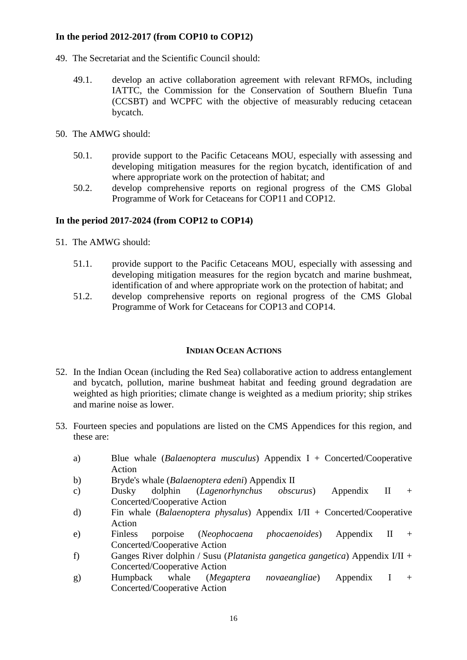- 49. The Secretariat and the Scientific Council should:
	- 49.1. develop an active collaboration agreement with relevant RFMOs, including IATTC, the Commission for the Conservation of Southern Bluefin Tuna (CCSBT) and WCPFC with the objective of measurably reducing cetacean bycatch.
- 50. The AMWG should:
	- 50.1. provide support to the Pacific Cetaceans MOU, especially with assessing and developing mitigation measures for the region bycatch, identification of and where appropriate work on the protection of habitat; and
	- 50.2. develop comprehensive reports on regional progress of the CMS Global Programme of Work for Cetaceans for COP11 and COP12.

## **In the period 2017-2024 (from COP12 to COP14)**

- 51. The AMWG should:
	- 51.1. provide support to the Pacific Cetaceans MOU, especially with assessing and developing mitigation measures for the region bycatch and marine bushmeat, identification of and where appropriate work on the protection of habitat; and
	- 51.2. develop comprehensive reports on regional progress of the CMS Global Programme of Work for Cetaceans for COP13 and COP14.

#### **INDIAN OCEAN ACTIONS**

- 52. In the Indian Ocean (including the Red Sea) collaborative action to address entanglement and bycatch, pollution, marine bushmeat habitat and feeding ground degradation are weighted as high priorities; climate change is weighted as a medium priority; ship strikes and marine noise as lower.
- 53. Fourteen species and populations are listed on the CMS Appendices for this region, and these are:
	- a) Blue whale (*Balaenoptera musculus*) Appendix I + Concerted/Cooperative Action
	- b) Bryde's whale (*Balaenoptera edeni*) Appendix II
	- c) Dusky dolphin (*[Lagenorhynchus obscurus](http://www.cms.int/reports/small_cetaceans/data/l_obscurus/l_obscurus.htm#_blank)*) Appendix II + Concerted/Cooperative Action
	- d) Fin whale (*Balaenoptera physalus*) Appendix I/II + Concerted/Cooperative Action
	- e) Finless porpoise (*[Neophocaena phocaenoides](http://www.cms.int/reports/small_cetaceans/data/N_phocaenoides/n_phocaenoides.htm#_blank)*) Appendix II + Concerted/Cooperative Action
	- f) Ganges River dolphin / Susu (*[Platanista gangetica gangetica](http://www.cms.int/reports/small_cetaceans/data/P_gangetica/p_gangetica.htm#_blank)*) Appendix I/II + Concerted/Cooperative Action
	- g) Humpback whale (*Megaptera novaeangliae*) Appendix I + Concerted/Cooperative Action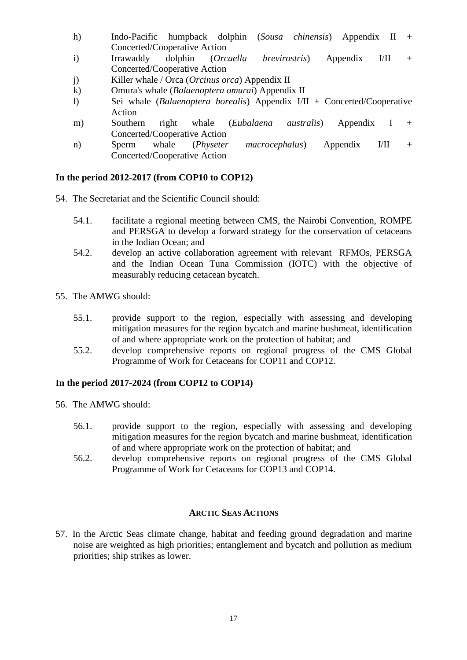- h) Indo-Pacific humpback dolphin (*[Sousa chinensis](http://www.cms.int/reports/small_cetaceans/data/S_chinensis/s_chinensis.htm#_blank)*) Appendix II + Concerted/Cooperative Action
- i) Irrawaddy dolphin (*[Orcaella brevirostris](http://www.cms.int/reports/small_cetaceans/data/O_brevirostris/O_brevirostris.htm#_blank)*) Appendix I/II + Concerted/Cooperative Action
- j) Killer whale / Orca (*[Orcinus orca](http://www.cms.int/reports/small_cetaceans/data/o_orca/o_orca.htm#_blank)*) Appendix II
- k) Omura's whale (*Balaenoptera omurai*) Appendix II
- l) Sei whale (*Balaenoptera borealis*) Appendix I/II + Concerted/Cooperative Action
- m) Southern right whale (*Eubalaena australis*) Appendix I + Concerted/Cooperative Action
- n) Sperm whale (*[Physeter macrocephalus](http://www.cms.int/reports/small_cetaceans/data/P_macrocephalus/P_macrocephalus.htm#_blank)*) Appendix I/II + Concerted/Cooperative Action

- 54. The Secretariat and the Scientific Council should:
	- 54.1. facilitate a regional meeting between CMS, the Nairobi Convention, ROMPE and PERSGA to develop a forward strategy for the conservation of cetaceans in the Indian Ocean; and
	- 54.2. develop an active collaboration agreement with relevant RFMOs, PERSGA and the Indian Ocean Tuna Commission (IOTC) with the objective of measurably reducing cetacean bycatch.
- 55. The AMWG should:
	- 55.1. provide support to the region, especially with assessing and developing mitigation measures for the region bycatch and marine bushmeat, identification of and where appropriate work on the protection of habitat; and
	- 55.2. develop comprehensive reports on regional progress of the CMS Global Programme of Work for Cetaceans for COP11 and COP12.

#### **In the period 2017-2024 (from COP12 to COP14)**

- 56. The AMWG should:
	- 56.1. provide support to the region, especially with assessing and developing mitigation measures for the region bycatch and marine bushmeat, identification of and where appropriate work on the protection of habitat; and
	- 56.2. develop comprehensive reports on regional progress of the CMS Global Programme of Work for Cetaceans for COP13 and COP14.

#### **ARCTIC SEAS ACTIONS**

57. In the Arctic Seas climate change, habitat and feeding ground degradation and marine noise are weighted as high priorities; entanglement and bycatch and pollution as medium priorities; ship strikes as lower.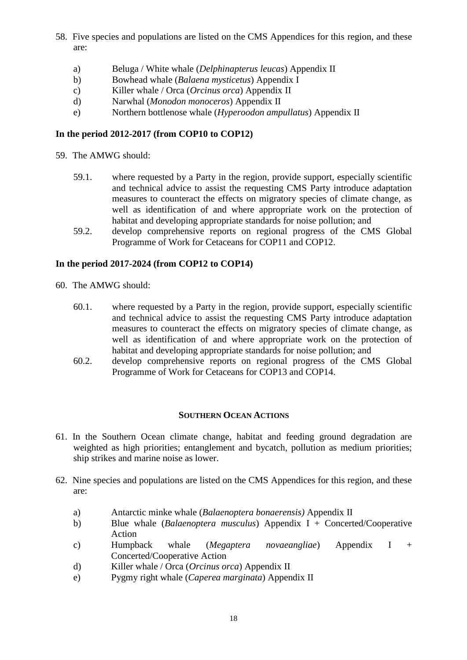- 58. Five species and populations are listed on the CMS Appendices for this region, and these are:
	- a) Beluga / White whale (*[Delphinapterus leucas](http://www.cms.int/reports/small_cetaceans/data/D_leucas/d_leucas.htm#_blank)*) Appendix II
	- b) Bowhead whale (*Balaena mysticetus*) Appendix I
	- c) Killer whale / Orca (*[Orcinus orca](http://www.cms.int/reports/small_cetaceans/data/o_orca/o_orca.htm#_blank)*) Appendix II
	- d) Narwhal (*[Monodon monoceros](http://www.cms.int/reports/small_cetaceans/data/data/M_monoceros/m_monoceros.htm#_blank)*) Appendix II
	- e) Northern bottlenose whale (*[Hyperoodon ampullatus](http://www.cms.int/reports/small_cetaceans/data/H_ampullatus/h_ampullatus.htm#_blank)*) Appendix II

59. The AMWG should:

- 59.1. where requested by a Party in the region, provide support, especially scientific and technical advice to assist the requesting CMS Party introduce adaptation measures to counteract the effects on migratory species of climate change, as well as identification of and where appropriate work on the protection of habitat and developing appropriate standards for noise pollution; and
- 59.2. develop comprehensive reports on regional progress of the CMS Global Programme of Work for Cetaceans for COP11 and COP12.

#### **In the period 2017-2024 (from COP12 to COP14)**

- 60. The AMWG should:
	- 60.1. where requested by a Party in the region, provide support, especially scientific and technical advice to assist the requesting CMS Party introduce adaptation measures to counteract the effects on migratory species of climate change, as well as identification of and where appropriate work on the protection of habitat and developing appropriate standards for noise pollution; and
	- 60.2. develop comprehensive reports on regional progress of the CMS Global Programme of Work for Cetaceans for COP13 and COP14.

#### **SOUTHERN OCEAN ACTIONS**

- 61. In the Southern Ocean climate change, habitat and feeding ground degradation are weighted as high priorities; entanglement and bycatch, pollution as medium priorities; ship strikes and marine noise as lower.
- 62. Nine species and populations are listed on the CMS Appendices for this region, and these are:
	- a) Antarctic minke whale (*Balaenoptera bonaerensis)* Appendix II
	- b) Blue whale (*Balaenoptera musculus*) Appendix I + Concerted/Cooperative Action
	- c) Humpback whale (*Megaptera novaeangliae*) Appendix I + Concerted/Cooperative Action
	- d) Killer whale / Orca (*[Orcinus orca](http://www.cms.int/reports/small_cetaceans/data/o_orca/o_orca.htm#_blank)*) Appendix II
	- e) Pygmy right whale (*Caperea marginata*) Appendix II